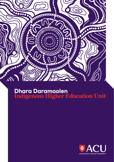

# Dhara Daramoolen **Indigenous Higher Education Unit**

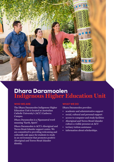

# Dhara Daramoolen **Indigenous Higher Education Unit**

## WHO WE ARE

The Dhara Daramoolen Indigenous Higher Education Unit is located at Australian Catholic University's (ACU) Canberra Campus.

Dhara Daramoolen is a Ngunnawal word meaning "Earth, Spirit".

Dhara Daramoolen is ACU's Aboriginal and Torres Strait Islander support centre. We are committed to providing welcoming and culturally safe space for students to study in an environment that promotes positive Aboriginal and Torres Strait Islander identity.

## WHAT WE DO

Dhara Daramoolen provides:

- academic and administrative support
- social, cultural and personal support
- access to computer and study facilities
- Aboriginal and Torres Strait Islander culture a visible presence at ACU
- tertiary tuition assistance
- information about scholarships.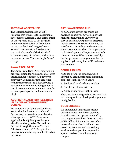## TUTORIAL ASSISTANCE

The Tutorial Assistance is an ISSP initiative that enhances the educational outcomes for Aboriginal and Torres Strait Islander people at ACU. The program matches suitable tutors with students to assist with a broad range of areas. Tutorial assistance is tailored to meet the particular needs of the individual student or group of students, with a focus on course success. The tutoring is free of charge.

# AWAY FROM BASE

The Away From Base (AFB) program is a practical option for Aboriginal and Torres Strait Islander students. AFB involves studying via online learning combined with intensive residential blocks twice a semester. Government funding supports travel, accommodation and meal costs for students participating in the residential block.

#### ABORIGINAL AND TORRES STRAIT ISLANDER ALTERNATE ENTRY **SCHEME**

For people of Aboriginal and/or Torres Strait Islander descent, a number of factors may be taken into consideration when applying to ACU. No separate application is required provided you identify as Aboriginal or Torres Strait Islander through the online Tertiary Admissions Centre (TAC) application process. You may be required to attend an interview.

## PATHWAYS PROGRAMS

At ACU, our pathway programs are designed to help you develop skills that make the transition to university as easy as possible. Our pathway programs include associate degrees, diplomas, and certificates. Depending on the course you choose, you may also have the opportunity to fast-track your studies, saving you both time and money. When you successfully finish a pathway course you may then be eligible to gain entry into ACU bachelorlevel courses.

# **SCHOLARSHIPS**

ACU has a range of scholarships on offer for all commencing and continuing students. Make sure you apply!

- 1. Look at all scholarships available
- 2. Check the relevant criteria
- 3. Apply online for all that suit you!

There are also Aboriginal and Torres Strait Islander specific scholarships that you may be eligible for.

# YOUR SUCCESS

We understand that success means different things to different students. In addition to the support provided by the Indigenous Higher Education Units, ACU's Office of Student Success offers personal and academic skills advice, career development and counselling services and support for people with special needs or disabilities on each campus.